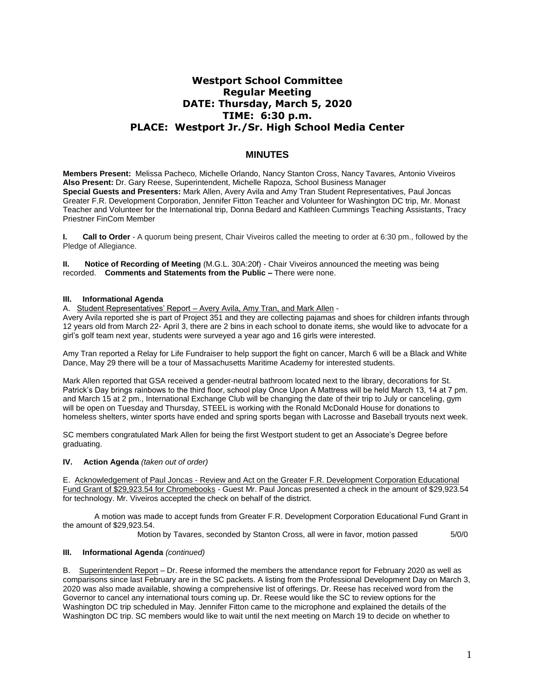# **Westport School Committee Regular Meeting DATE: Thursday, March 5, 2020 TIME: 6:30 p.m. PLACE: Westport Jr./Sr. High School Media Center**

## **MINUTES**

**Members Present:** Melissa Pacheco*,* Michelle Orlando, Nancy Stanton Cross, Nancy Tavares*,* Antonio Viveiros **Also Present:** Dr. Gary Reese, Superintendent, Michelle Rapoza, School Business Manager **Special Guests and Presenters:** Mark Allen, Avery Avila and Amy Tran Student Representatives, Paul Joncas Greater F.R. Development Corporation, Jennifer Fitton Teacher and Volunteer for Washington DC trip, Mr. Monast Teacher and Volunteer for the International trip, Donna Bedard and Kathleen Cummings Teaching Assistants, Tracy Priestner FinCom Member

**I. Call to Order** - A quorum being present, Chair Viveiros called the meeting to order at 6:30 pm., followed by the Pledge of Allegiance.

**II. Notice of Recording of Meeting** (M.G.L. 30A:20f) - Chair Viveiros announced the meeting was being recorded. **Comments and Statements from the Public –** There were none.

#### **III. Informational Agenda**

A. Student Representatives' Report – Avery Avila, Amy Tran, and Mark Allen -

Avery Avila reported she is part of Project 351 and they are collecting pajamas and shoes for children infants through 12 years old from March 22- April 3, there are 2 bins in each school to donate items, she would like to advocate for a girl's golf team next year, students were surveyed a year ago and 16 girls were interested.

Amy Tran reported a Relay for Life Fundraiser to help support the fight on cancer, March 6 will be a Black and White Dance, May 29 there will be a tour of Massachusetts Maritime Academy for interested students.

Mark Allen reported that GSA received a gender-neutral bathroom located next to the library, decorations for St. Patrick's Day brings rainbows to the third floor, school play Once Upon A Mattress will be held March 13, 14 at 7 pm. and March 15 at 2 pm., International Exchange Club will be changing the date of their trip to July or canceling, gym will be open on Tuesday and Thursday, STEEL is working with the Ronald McDonald House for donations to homeless shelters, winter sports have ended and spring sports began with Lacrosse and Baseball tryouts next week.

SC members congratulated Mark Allen for being the first Westport student to get an Associate's Degree before graduating.

#### **IV. Action Agenda** *(taken out of order)*

E. Acknowledgement of Paul Joncas - Review and Act on the Greater F.R. Development Corporation Educational Fund Grant of \$29,923.54 for Chromebooks - Guest Mr. Paul Joncas presented a check in the amount of \$29,923.54 for technology. Mr. Viveiros accepted the check on behalf of the district.

A motion was made to accept funds from Greater F.R. Development Corporation Educational Fund Grant in the amount of \$29,923.54.

Motion by Tavares, seconded by Stanton Cross, all were in favor, motion passed 5/0/0

### **III. Informational Agenda** *(continued)*

B. Superintendent Report – Dr. Reese informed the members the attendance report for February 2020 as well as comparisons since last February are in the SC packets. A listing from the Professional Development Day on March 3, 2020 was also made available, showing a comprehensive list of offerings. Dr. Reese has received word from the Governor to cancel any international tours coming up. Dr. Reese would like the SC to review options for the Washington DC trip scheduled in May. Jennifer Fitton came to the microphone and explained the details of the Washington DC trip. SC members would like to wait until the next meeting on March 19 to decide on whether to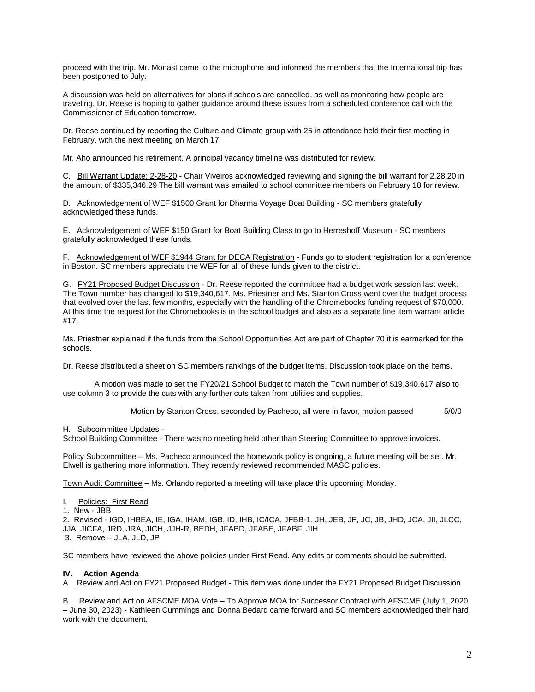proceed with the trip. Mr. Monast came to the microphone and informed the members that the International trip has been postponed to July.

A discussion was held on alternatives for plans if schools are cancelled, as well as monitoring how people are traveling. Dr. Reese is hoping to gather guidance around these issues from a scheduled conference call with the Commissioner of Education tomorrow.

Dr. Reese continued by reporting the Culture and Climate group with 25 in attendance held their first meeting in February, with the next meeting on March 17.

Mr. Aho announced his retirement. A principal vacancy timeline was distributed for review.

C. Bill Warrant Update: 2-28-20 - Chair Viveiros acknowledged reviewing and signing the bill warrant for 2.28.20 in the amount of \$335,346.29 The bill warrant was emailed to school committee members on February 18 for review.

D. Acknowledgement of WEF \$1500 Grant for Dharma Voyage Boat Building - SC members gratefully acknowledged these funds.

E. Acknowledgement of WEF \$150 Grant for Boat Building Class to go to Herreshoff Museum - SC members gratefully acknowledged these funds.

F. Acknowledgement of WEF \$1944 Grant for DECA Registration - Funds go to student registration for a conference in Boston. SC members appreciate the WEF for all of these funds given to the district.

G. FY21 Proposed Budget Discussion - Dr. Reese reported the committee had a budget work session last week. The Town number has changed to \$19,340,617. Ms. Priestner and Ms. Stanton Cross went over the budget process that evolved over the last few months, especially with the handling of the Chromebooks funding request of \$70,000. At this time the request for the Chromebooks is in the school budget and also as a separate line item warrant article #17.

Ms. Priestner explained if the funds from the School Opportunities Act are part of Chapter 70 it is earmarked for the schools.

Dr. Reese distributed a sheet on SC members rankings of the budget items. Discussion took place on the items.

A motion was made to set the FY20/21 School Budget to match the Town number of \$19,340,617 also to use column 3 to provide the cuts with any further cuts taken from utilities and supplies.

Motion by Stanton Cross, seconded by Pacheco, all were in favor, motion passed 5/0/0

H. Subcommittee Updates -

School Building Committee - There was no meeting held other than Steering Committee to approve invoices.

Policy Subcommittee – Ms. Pacheco announced the homework policy is ongoing, a future meeting will be set. Mr. Elwell is gathering more information. They recently reviewed recommended MASC policies.

Town Audit Committee – Ms. Orlando reported a meeting will take place this upcoming Monday.

- I. Policies: First Read
- 1. New JBB

2. Revised - IGD, IHBEA, IE, IGA, IHAM, IGB, ID, IHB, IC/ICA, JFBB-1, JH, JEB, JF, JC, JB, JHD, JCA, JII, JLCC, JJA, JICFA, JRD, JRA, JICH, JJH-R, BEDH, JFABD, JFABE, JFABF, JIH 3. Remove – JLA, JLD, JP

SC members have reviewed the above policies under First Read. Any edits or comments should be submitted.

#### **IV. Action Agenda**

A. Review and Act on FY21 Proposed Budget - This item was done under the FY21 Proposed Budget Discussion.

B. Review and Act on AFSCME MOA Vote - To Approve MOA for Successor Contract with AFSCME (July 1, 2020 – June 30, 2023) - Kathleen Cummings and Donna Bedard came forward and SC members acknowledged their hard work with the document.